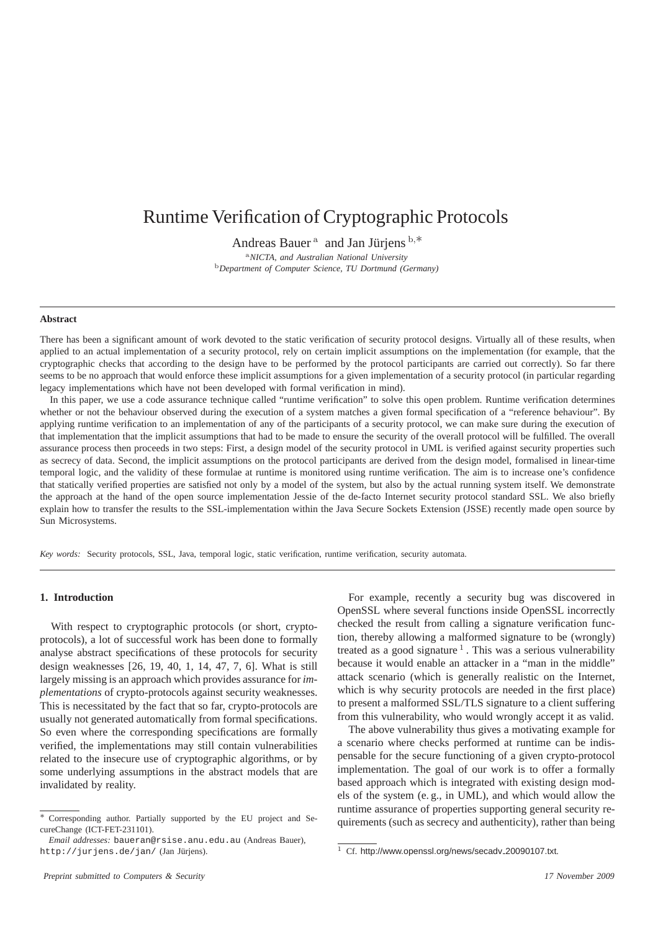# Runtime Verification of Cryptographic Protocols

Andreas Bauer<sup>a</sup> and Jan Jürjens<sup>b,\*</sup>

<sup>a</sup>*NICTA, and Australian National University* <sup>b</sup>*Department of Computer Science, TU Dortmund (Germany)*

#### **Abstract**

There has been a significant amount of work devoted to the static verification of security protocol designs. Virtually all of these results, when applied to an actual implementation of a security protocol, rely on certain implicit assumptions on the implementation (for example, that the cryptographic checks that according to the design have to be performed by the protocol participants are carried out correctly). So far there seems to be no approach that would enforce these implicit assumptions for a given implementation of a security protocol (in particular regarding legacy implementations which have not been developed with formal verification in mind).

In this paper, we use a code assurance technique called "runtime verification" to solve this open problem. Runtime verification determines whether or not the behaviour observed during the execution of a system matches a given formal specification of a "reference behaviour". By applying runtime verification to an implementation of any of the participants of a security protocol, we can make sure during the execution of that implementation that the implicit assumptions that had to be made to ensure the security of the overall protocol will be fulfilled. The overall assurance process then proceeds in two steps: First, a design model of the security protocol in UML is verified against security properties such as secrecy of data. Second, the implicit assumptions on the protocol participants are derived from the design model, formalised in linear-time temporal logic, and the validity of these formulae at runtime is monitored using runtime verification. The aim is to increase one's confidence that statically verified properties are satisfied not only by a model of the system, but also by the actual running system itself. We demonstrate the approach at the hand of the open source implementation Jessie of the de-facto Internet security protocol standard SSL. We also briefly explain how to transfer the results to the SSL-implementation within the Java Secure Sockets Extension (JSSE) recently made open source by Sun Microsystems.

*Key words:* Security protocols, SSL, Java, temporal logic, static verification, runtime verification, security automata.

# **1. Introduction**

With respect to cryptographic protocols (or short, cryptoprotocols), a lot of successful work has been done to formally analyse abstract specifications of these protocols for security design weaknesses [26, 19, 40, 1, 14, 47, 7, 6]. What is still largely missing is an approach which provides assurance for *implementations* of crypto-protocols against security weaknesses. This is necessitated by the fact that so far, crypto-protocols are usually not generated automatically from formal specifications. So even where the corresponding specifications are formally verified, the implementations may still contain vulnerabilities related to the insecure use of cryptographic algorithms, or by some underlying assumptions in the abstract models that are invalidated by reality.

Preprint submitted to Computers & Security <sup>17</sup> November <sup>2009</sup>

For example, recently a security bug was discovered in OpenSSL where several functions inside OpenSSL incorrectly checked the result from calling a signature verification function, thereby allowing a malformed signature to be (wrongly) treated as a good signature  $1$ . This was a serious vulnerability because it would enable an attacker in a "man in the middle" attack scenario (which is generally realistic on the Internet, which is why security protocols are needed in the first place) to present a malformed SSL/TLS signature to a client suffering from this vulnerability, who would wrongly accept it as valid.

The above vulnerability thus gives a motivating example for a scenario where checks performed at runtime can be indispensable for the secure functioning of a given crypto-protocol implementation. The goal of our work is to offer a formally based approach which is integrated with existing design models of the system (e. g., in UML), and which would allow the runtime assurance of properties supporting general security requirements (such as secrecy and authenticity), rather than being

<sup>∗</sup> Corresponding author. Partially supported by the EU project and SecureChange (ICT-FET-231101).

*Email addresses:* baueran@rsise.anu.edu.au (Andreas Bauer), http://jurjens.de/jan/ (Jan Jürjens).

 $1 \text{ Cf. http://www.openssl.org/news/secadv_20090107.txt.}$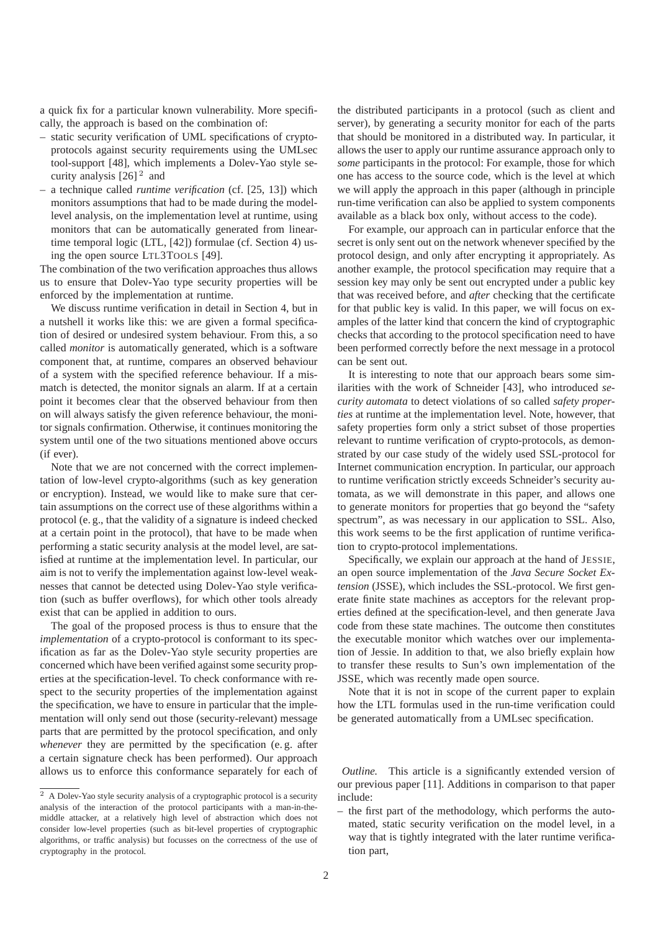a quick fix for a particular known vulnerability. More specifically, the approach is based on the combination of:

- static security verification of UML specifications of cryptoprotocols against security requirements using the UMLsec tool-support [48], which implements a Dolev-Yao style security analysis  $[26]$ <sup>2</sup> and
- a technique called *runtime verification* (cf. [25, 13]) which monitors assumptions that had to be made during the modellevel analysis, on the implementation level at runtime, using monitors that can be automatically generated from lineartime temporal logic (LTL, [42]) formulae (cf. Section 4) using the open source LTL3TOOLS [49].

The combination of the two verification approaches thus allows us to ensure that Dolev-Yao type security properties will be enforced by the implementation at runtime.

We discuss runtime verification in detail in Section 4, but in a nutshell it works like this: we are given a formal specification of desired or undesired system behaviour. From this, a so called *monitor* is automatically generated, which is a software component that, at runtime, compares an observed behaviour of a system with the specified reference behaviour. If a mismatch is detected, the monitor signals an alarm. If at a certain point it becomes clear that the observed behaviour from then on will always satisfy the given reference behaviour, the monitor signals confirmation. Otherwise, it continues monitoring the system until one of the two situations mentioned above occurs (if ever).

Note that we are not concerned with the correct implementation of low-level crypto-algorithms (such as key generation or encryption). Instead, we would like to make sure that certain assumptions on the correct use of these algorithms within a protocol (e. g., that the validity of a signature is indeed checked at a certain point in the protocol), that have to be made when performing a static security analysis at the model level, are satisfied at runtime at the implementation level. In particular, our aim is not to verify the implementation against low-level weaknesses that cannot be detected using Dolev-Yao style verification (such as buffer overflows), for which other tools already exist that can be applied in addition to ours.

The goal of the proposed process is thus to ensure that the *implementation* of a crypto-protocol is conformant to its specification as far as the Dolev-Yao style security properties are concerned which have been verified against some security properties at the specification-level. To check conformance with respect to the security properties of the implementation against the specification, we have to ensure in particular that the implementation will only send out those (security-relevant) message parts that are permitted by the protocol specification, and only *whenever* they are permitted by the specification (e.g. after a certain signature check has been performed). Our approach allows us to enforce this conformance separately for each of the distributed participants in a protocol (such as client and server), by generating a security monitor for each of the parts that should be monitored in a distributed way. In particular, it allows the user to apply our runtime assurance approach only to *some* participants in the protocol: For example, those for which one has access to the source code, which is the level at which we will apply the approach in this paper (although in principle run-time verification can also be applied to system components available as a black box only, without access to the code).

For example, our approach can in particular enforce that the secret is only sent out on the network whenever specified by the protocol design, and only after encrypting it appropriately. As another example, the protocol specification may require that a session key may only be sent out encrypted under a public key that was received before, and *after* checking that the certificate for that public key is valid. In this paper, we will focus on examples of the latter kind that concern the kind of cryptographic checks that according to the protocol specification need to have been performed correctly before the next message in a protocol can be sent out.

It is interesting to note that our approach bears some similarities with the work of Schneider [43], who introduced *security automata* to detect violations of so called *safety properties* at runtime at the implementation level. Note, however, that safety properties form only a strict subset of those properties relevant to runtime verification of crypto-protocols, as demonstrated by our case study of the widely used SSL-protocol for Internet communication encryption. In particular, our approach to runtime verification strictly exceeds Schneider's security automata, as we will demonstrate in this paper, and allows one to generate monitors for properties that go beyond the "safety spectrum", as was necessary in our application to SSL. Also, this work seems to be the first application of runtime verification to crypto-protocol implementations.

Specifically, we explain our approach at the hand of JESSIE, an open source implementation of the *Java Secure Socket Extension* (JSSE), which includes the SSL-protocol. We first generate finite state machines as acceptors for the relevant properties defined at the specification-level, and then generate Java code from these state machines. The outcome then constitutes the executable monitor which watches over our implementation of Jessie. In addition to that, we also briefly explain how to transfer these results to Sun's own implementation of the JSSE, which was recently made open source.

Note that it is not in scope of the current paper to explain how the LTL formulas used in the run-time verification could be generated automatically from a UMLsec specification.

*Outline.* This article is a significantly extended version of our previous paper [11]. Additions in comparison to that paper include:

– the first part of the methodology, which performs the automated, static security verification on the model level, in a way that is tightly integrated with the later runtime verification part,

<sup>&</sup>lt;sup>2</sup> A Dolev-Yao style security analysis of a cryptographic protocol is a security analysis of the interaction of the protocol participants with a man-in-themiddle attacker, at a relatively high level of abstraction which does not consider low-level properties (such as bit-level properties of cryptographic algorithms, or traffic analysis) but focusses on the correctness of the use of cryptography in the protocol.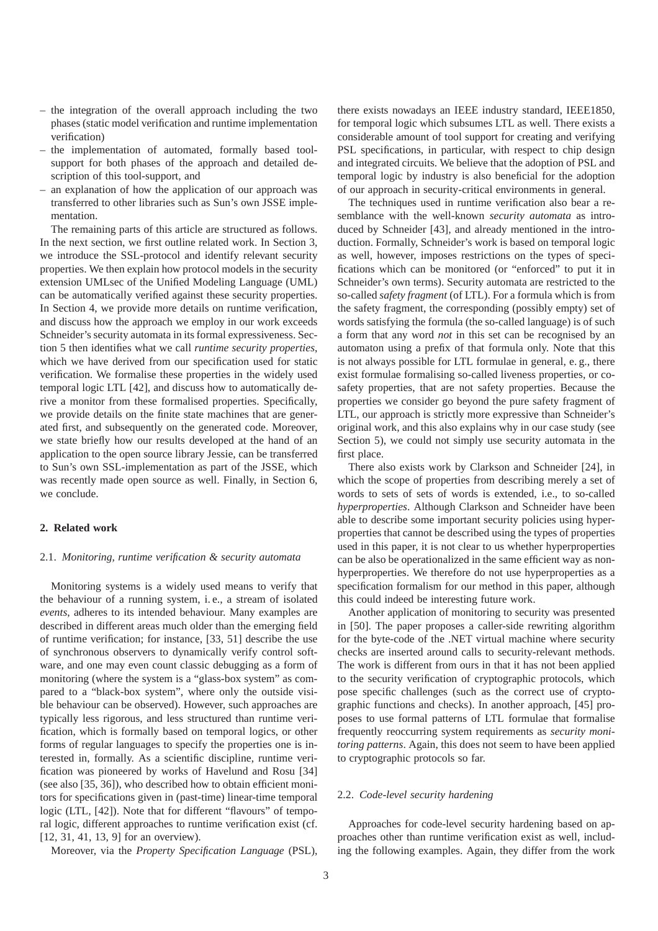- the integration of the overall approach including the two phases (static model verification and runtime implementation verification)
- the implementation of automated, formally based toolsupport for both phases of the approach and detailed description of this tool-support, and
- an explanation of how the application of our approach was transferred to other libraries such as Sun's own JSSE implementation.

The remaining parts of this article are structured as follows. In the next section, we first outline related work. In Section 3, we introduce the SSL-protocol and identify relevant security properties. We then explain how protocol models in the security extension UMLsec of the Unified Modeling Language (UML) can be automatically verified against these security properties. In Section 4, we provide more details on runtime verification, and discuss how the approach we employ in our work exceeds Schneider's security automata in its formal expressiveness. Section 5 then identifies what we call *runtime security properties*, which we have derived from our specification used for static verification. We formalise these properties in the widely used temporal logic LTL [42], and discuss how to automatically derive a monitor from these formalised properties. Specifically, we provide details on the finite state machines that are generated first, and subsequently on the generated code. Moreover, we state briefly how our results developed at the hand of an application to the open source library Jessie, can be transferred to Sun's own SSL-implementation as part of the JSSE, which was recently made open source as well. Finally, in Section 6, we conclude.

# **2. Related work**

#### 2.1. *Monitoring, runtime verification & security automata*

Monitoring systems is a widely used means to verify that the behaviour of a running system, i. e., a stream of isolated *events*, adheres to its intended behaviour. Many examples are described in different areas much older than the emerging field of runtime verification; for instance, [33, 51] describe the use of synchronous observers to dynamically verify control software, and one may even count classic debugging as a form of monitoring (where the system is a "glass-box system" as compared to a "black-box system", where only the outside visible behaviour can be observed). However, such approaches are typically less rigorous, and less structured than runtime verification, which is formally based on temporal logics, or other forms of regular languages to specify the properties one is interested in, formally. As a scientific discipline, runtime verification was pioneered by works of Havelund and Rosu [34] (see also [35, 36]), who described how to obtain efficient monitors for specifications given in (past-time) linear-time temporal logic (LTL, [42]). Note that for different "flavours" of temporal logic, different approaches to runtime verification exist (cf. [12, 31, 41, 13, 9] for an overview).

Moreover, via the *Property Specification Language* (PSL),

there exists nowadays an IEEE industry standard, IEEE1850, for temporal logic which subsumes LTL as well. There exists a considerable amount of tool support for creating and verifying PSL specifications, in particular, with respect to chip design and integrated circuits. We believe that the adoption of PSL and temporal logic by industry is also beneficial for the adoption of our approach in security-critical environments in general.

The techniques used in runtime verification also bear a resemblance with the well-known *security automata* as introduced by Schneider [43], and already mentioned in the introduction. Formally, Schneider's work is based on temporal logic as well, however, imposes restrictions on the types of specifications which can be monitored (or "enforced" to put it in Schneider's own terms). Security automata are restricted to the so-called *safety fragment* (of LTL). For a formula which is from the safety fragment, the corresponding (possibly empty) set of words satisfying the formula (the so-called language) is of such a form that any word *not* in this set can be recognised by an automaton using a prefix of that formula only. Note that this is not always possible for LTL formulae in general, e. g., there exist formulae formalising so-called liveness properties, or cosafety properties, that are not safety properties. Because the properties we consider go beyond the pure safety fragment of LTL, our approach is strictly more expressive than Schneider's original work, and this also explains why in our case study (see Section 5), we could not simply use security automata in the first place.

There also exists work by Clarkson and Schneider [24], in which the scope of properties from describing merely a set of words to sets of sets of words is extended, i.e., to so-called *hyperproperties*. Although Clarkson and Schneider have been able to describe some important security policies using hyperproperties that cannot be described using the types of properties used in this paper, it is not clear to us whether hyperproperties can be also be operationalized in the same efficient way as nonhyperproperties. We therefore do not use hyperproperties as a specification formalism for our method in this paper, although this could indeed be interesting future work.

Another application of monitoring to security was presented in [50]. The paper proposes a caller-side rewriting algorithm for the byte-code of the .NET virtual machine where security checks are inserted around calls to security-relevant methods. The work is different from ours in that it has not been applied to the security verification of cryptographic protocols, which pose specific challenges (such as the correct use of cryptographic functions and checks). In another approach, [45] proposes to use formal patterns of LTL formulae that formalise frequently reoccurring system requirements as *security monitoring patterns*. Again, this does not seem to have been applied to cryptographic protocols so far.

## 2.2. *Code-level security hardening*

Approaches for code-level security hardening based on approaches other than runtime verification exist as well, including the following examples. Again, they differ from the work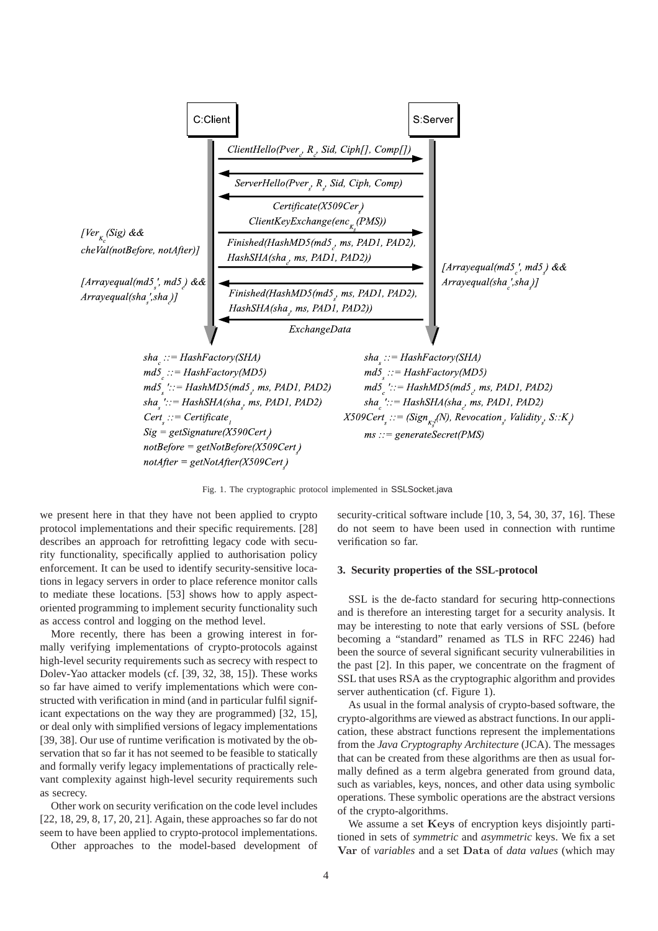

Fig. 1. The cryptographic protocol implemented in SSLSocket.java

we present here in that they have not been applied to crypto protocol implementations and their specific requirements. [28] describes an approach for retrofitting legacy code with security functionality, specifically applied to authorisation policy enforcement. It can be used to identify security-sensitive locations in legacy servers in order to place reference monitor calls to mediate these locations. [53] shows how to apply aspectoriented programming to implement security functionality such as access control and logging on the method level.

More recently, there has been a growing interest in formally verifying implementations of crypto-protocols against high-level security requirements such as secrecy with respect to Dolev-Yao attacker models (cf. [39, 32, 38, 15]). These works so far have aimed to verify implementations which were constructed with verification in mind (and in particular fulfil significant expectations on the way they are programmed) [32, 15], or deal only with simplified versions of legacy implementations [39, 38]. Our use of runtime verification is motivated by the observation that so far it has not seemed to be feasible to statically and formally verify legacy implementations of practically relevant complexity against high-level security requirements such as secrecy.

Other work on security verification on the code level includes [22, 18, 29, 8, 17, 20, 21]. Again, these approaches so far do not seem to have been applied to crypto-protocol implementations.

Other approaches to the model-based development of

security-critical software include [10, 3, 54, 30, 37, 16]. These do not seem to have been used in connection with runtime verification so far.

#### **3. Security properties of the SSL-protocol**

SSL is the de-facto standard for securing http-connections and is therefore an interesting target for a security analysis. It may be interesting to note that early versions of SSL (before becoming a "standard" renamed as TLS in RFC 2246) had been the source of several significant security vulnerabilities in the past [2]. In this paper, we concentrate on the fragment of SSL that uses RSA as the cryptographic algorithm and provides server authentication (cf. Figure 1).

As usual in the formal analysis of crypto-based software, the crypto-algorithms are viewed as abstract functions. In our application, these abstract functions represent the implementations from the *Java Cryptography Architecture* (JCA). The messages that can be created from these algorithms are then as usual formally defined as a term algebra generated from ground data, such as variables, keys, nonces, and other data using symbolic operations. These symbolic operations are the abstract versions of the crypto-algorithms.

We assume a set Keys of encryption keys disjointly partitioned in sets of *symmetric* and *asymmetric* keys. We fix a set Var of *variables* and a set Data of *data values* (which may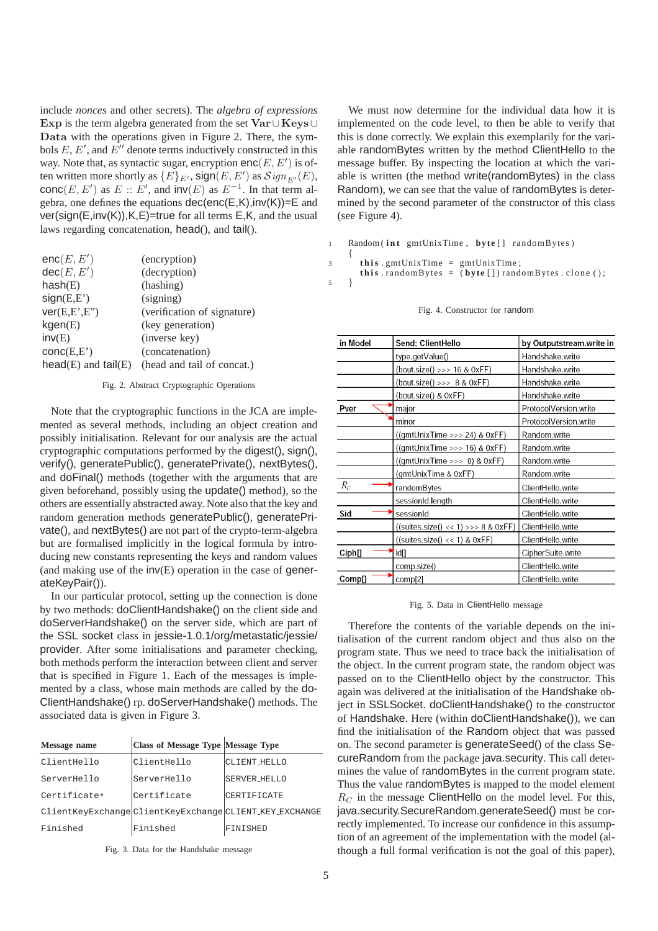include *nonces* and other secrets). The *algebra of expressions* Exp is the term algebra generated from the set Var∪Keys∪ Data with the operations given in Figure 2. There, the symbols  $E, E'$ , and  $E''$  denote terms inductively constructed in this way. Note that, as syntactic sugar, encryption  $\mathsf{enc}(E, E')$  is often written more shortly as  $\{E\}_{E'}$ , sign $(E, E')$  as  $\mathcal{S}ign_{E'}(E)$ , conc $(E, E')$  as  $E :: E'$ , and  $inv(E)$  as  $E^{-1}$ . In that term algebra, one defines the equations  $dec(enc(E,K),inv(K))=E$  and  $ver(sign(E, inv(K)), K, E)=true$  for all terms  $E, K$ , and the usual laws regarding concatenation, head(), and tail().

| enc(E, E')              | (encryption)                |
|-------------------------|-----------------------------|
| $\mathsf{dec}(E,E')$    | (decryption)                |
| hash(E)                 | (hashing)                   |
| sign(E, E')             | (signing)                   |
| ver(E, E', E'')         | (verification of signature) |
| kgen(E)                 | (key generation)            |
| inv(E)                  | (inverse key)               |
| conc(E,E')              | (concatenation)             |
| $head(E)$ and $tail(E)$ | (head and tail of concat.)  |

Fig. 2. Abstract Cryptographic Operations

Note that the cryptographic functions in the JCA are implemented as several methods, including an object creation and possibly initialisation. Relevant for our analysis are the actual cryptographic computations performed by the digest(), sign(), verify(), generatePublic(), generatePrivate(), nextBytes(), and doFinal() methods (together with the arguments that are given beforehand, possibly using the update() method), so the others are essentially abstracted away. Note also that the key and random generation methods generatePublic(), generatePrivate(), and nextBytes() are not part of the crypto-term-algebra but are formalised implicitly in the logical formula by introducing new constants representing the keys and random values (and making use of the inv(E) operation in the case of generateKeyPair()).

In our particular protocol, setting up the connection is done by two methods: doClientHandshake() on the client side and doServerHandshake() on the server side, which are part of the SSL socket class in jessie-1.0.1/org/metastatic/jessie/ provider. After some initialisations and parameter checking, both methods perform the interaction between client and server that is specified in Figure 1. Each of the messages is implemented by a class, whose main methods are called by the do-ClientHandshake() rp. doServerHandshake() methods. The associated data is given in Figure 3.

| Message name | <b>Class of Message Type Message Type</b> |                                                       |
|--------------|-------------------------------------------|-------------------------------------------------------|
| ClientHello  | ClientHello                               | CLIENT_HELLO                                          |
| ServerHello  | ServerHello                               | SERVER_HELLO                                          |
| Certificate* | Certificate                               | CERTIFICATE                                           |
|              |                                           | ClientKeyExchangeClientKeyExchangeCLIENT_KEY_EXCHANGE |
| Finished     | Finished                                  | FINISHED                                              |

Fig. 3. Data for the Handshake message

We must now determine for the individual data how it is implemented on the code level, to then be able to verify that this is done correctly. We explain this exemplarily for the variable randomBytes written by the method ClientHello to the message buffer. By inspecting the location at which the variable is written (the method write(randomBytes) in the class Random), we can see that the value of randomBytes is determined by the second parameter of the constructor of this class (see Figure 4).

```
1 Random (int gmtUnixTime, byte [] randomBytes)
    \left\{ \right\}\int this . gmtUnixTime = gmtUnixTime;
```
**this** . random Bytes =  $(byte[])$  random Bytes . clone (); 5 }

Fig. 4. Constructor for random

| in Model | Send: ClientHello                                  | by Outputstream.write in |
|----------|----------------------------------------------------|--------------------------|
|          | type.getValue()                                    | Handshake.write          |
|          | (bout.size() >>> 16 & 0xFF)                        | Handshake.write          |
|          | (bout.size() >>> $8 & 0 \times F$ )                | Handshake.write          |
|          | (bout.size() & 0xFF)                               | Handshake.write          |
| Pver     | major                                              | ProtocolVersion.write    |
|          | minor                                              | ProtocolVersion.write    |
|          | ((gmtUnixTime >> 24) & OxFF)                       | Random.write             |
|          | $((gmtUnixTime \gg 16) & OxFF)$                    | Random.write             |
|          | ((gmtUnixTime >> 8) & OxFF)                        | Random.write             |
|          | (gmtUnixTime & 0xFF)                               | Random.write             |
| $R_C$    | randomBytes                                        | ClientHello.write        |
|          | sessionId.length                                   | ClientHello.write        |
| Sid      | sessionId                                          | ClientHello.write        |
|          | $((\text{suites.size}() << 1) >> 8 & 0 \times FF)$ | ClientHello.write        |
|          | $((\text{suites.size}() << 1) & \text{OxFF})$      | ClientHello.write        |
| Ciph[]   | id[]                                               | CipherSuite.write        |
|          | comp.size()                                        | ClientHello.write        |
| Comp[]   | comp[2]                                            | ClientHello.write        |

#### Fig. 5. Data in ClientHello message

Therefore the contents of the variable depends on the initialisation of the current random object and thus also on the program state. Thus we need to trace back the initialisation of the object. In the current program state, the random object was passed on to the ClientHello object by the constructor. This again was delivered at the initialisation of the Handshake object in SSLSocket. doClientHandshake() to the constructor of Handshake. Here (within doClientHandshake()), we can find the initialisation of the Random object that was passed on. The second parameter is generateSeed() of the class SecureRandom from the package java.security. This call determines the value of randomBytes in the current program state. Thus the value randomBytes is mapped to the model element  $R_C$  in the message ClientHello on the model level. For this, java.security.SecureRandom.generateSeed() must be correctly implemented. To increase our confidence in this assumption of an agreement of the implementation with the model (although a full formal verification is not the goal of this paper),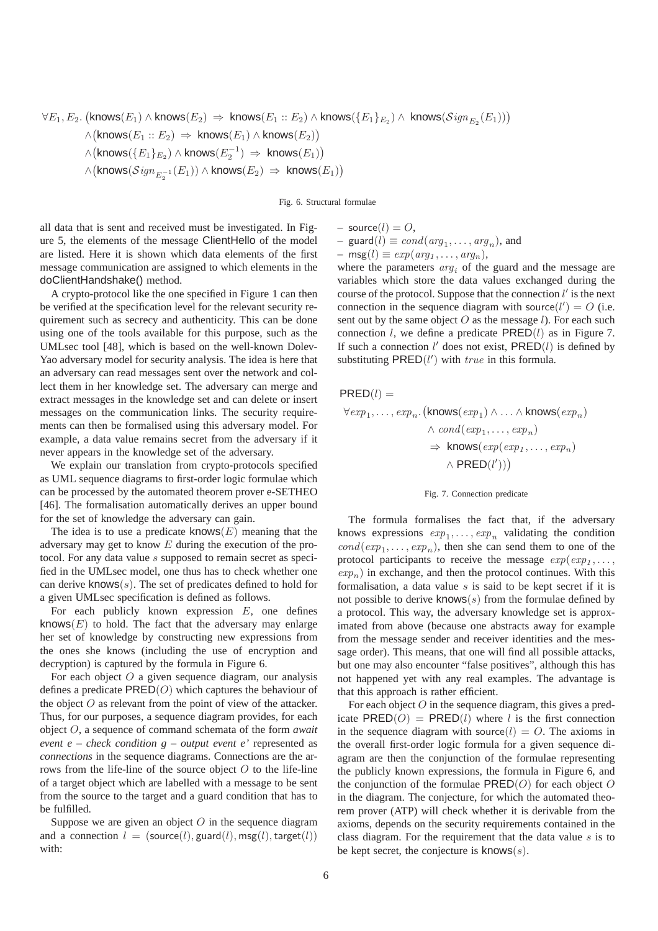$\forall E_1,E_2.~\big($ knows $(E_1)\wedge$  knows $(E_2)\ \Rightarrow\ {\sf knows}(E_1::E_2)\wedge{\sf knows}(\{E_1\}_{E_2})\wedge\ {\sf knows}(\mathcal{S}ign_{E_2}(E_1))\big)$  $\wedge (\mathsf{knows}(E_1::E_2)\ \Rightarrow\ \mathsf{knows}(E_1) \wedge \mathsf{knows}(E_2))$  $\wedge$ (knows $(\{E_1\}_{E_2}) \wedge$  knows $(E_2^{-1}) \Rightarrow$  knows $(E_1))$ 

 $\wedge \big({\sf knows}({\cal S}ign_{E_2^{-1}}(E_1)) \wedge {\sf knows}(E_2) \ \Rightarrow \ {\sf knows}(E_1)\big)$ 

Fig. 6. Structural formulae

all data that is sent and received must be investigated. In Figure 5, the elements of the message ClientHello of the model are listed. Here it is shown which data elements of the first message communication are assigned to which elements in the doClientHandshake() method.

A crypto-protocol like the one specified in Figure 1 can then be verified at the specification level for the relevant security requirement such as secrecy and authenticity. This can be done using one of the tools available for this purpose, such as the UMLsec tool [48], which is based on the well-known Dolev-Yao adversary model for security analysis. The idea is here that an adversary can read messages sent over the network and collect them in her knowledge set. The adversary can merge and extract messages in the knowledge set and can delete or insert messages on the communication links. The security requirements can then be formalised using this adversary model. For example, a data value remains secret from the adversary if it never appears in the knowledge set of the adversary.

We explain our translation from crypto-protocols specified as UML sequence diagrams to first-order logic formulae which can be processed by the automated theorem prover e-SETHEO [46]. The formalisation automatically derives an upper bound for the set of knowledge the adversary can gain.

The idea is to use a predicate knows( $E$ ) meaning that the adversary may get to know E during the execution of the protocol. For any data value s supposed to remain secret as specified in the UMLsec model, one thus has to check whether one can derive knows $(s)$ . The set of predicates defined to hold for a given UMLsec specification is defined as follows.

For each publicly known expression  $E$ , one defines knows $(E)$  to hold. The fact that the adversary may enlarge her set of knowledge by constructing new expressions from the ones she knows (including the use of encryption and decryption) is captured by the formula in Figure 6.

For each object  $O$  a given sequence diagram, our analysis defines a predicate  $PRED(O)$  which captures the behaviour of the object  $O$  as relevant from the point of view of the attacker. Thus, for our purposes, a sequence diagram provides, for each object O, a sequence of command schemata of the form *await event e – check condition g – output event e'* represented as *connections* in the sequence diagrams. Connections are the arrows from the life-line of the source object  $O$  to the life-line of a target object which are labelled with a message to be sent from the source to the target and a guard condition that has to be fulfilled.

Suppose we are given an object  $O$  in the sequence diagram and a connection  $l = (source(l), guard(l), msg(l),target(l))$ with:

- source $(l) = O$ ,
- $-$  guard $(l) \equiv cond(arg_1, \ldots, arg_n),$  and
- $-$  msg(l)  $\equiv exp(arg_1, \ldots, arg_n),$

where the parameters  $arg_i$  of the guard and the message are variables which store the data values exchanged during the course of the protocol. Suppose that the connection  $l'$  is the next connection in the sequence diagram with source( $l'$ ) = O (i.e. sent out by the same object  $O$  as the message  $l$ ). For each such connection  $l$ , we define a predicate  $PRED(l)$  as in Figure 7. If such a connection  $l'$  does not exist, PRED( $l$ ) is defined by substituting  $\mathsf{PRED}(l')$  with *true* in this formula.

 $PRED(l) =$ 

$$
\begin{aligned} \forall \mathit{exp}_1, \dots, \mathit{exp}_n. \big( \textsf{knows}(\mathit{exp}_1) \land \dots \land \textsf{knows}(\mathit{exp}_n) \\ &\land \mathit{cond}(\mathit{exp}_1, \dots, \mathit{exp}_n) \\ \Rightarrow \; \textsf{knows}(\mathit{exp}(\mathit{exp}_1, \dots, \mathit{exp}_n) \\ &\land \; \mathsf{PRED}(l')) \big) \end{aligned}
$$

#### Fig. 7. Connection predicate

The formula formalises the fact that, if the adversary knows expressions  $exp_1, \ldots, exp_n$  validating the condition  $cond(exp_1, \ldots, exp_n)$ , then she can send them to one of the protocol participants to receive the message  $exp(exp_1, \ldots,$  $exp_n$ ) in exchange, and then the protocol continues. With this formalisation, a data value  $s$  is said to be kept secret if it is not possible to derive knows $(s)$  from the formulae defined by a protocol. This way, the adversary knowledge set is approximated from above (because one abstracts away for example from the message sender and receiver identities and the message order). This means, that one will find all possible attacks, but one may also encounter "false positives", although this has not happened yet with any real examples. The advantage is that this approach is rather efficient.

For each object  $O$  in the sequence diagram, this gives a predicate  $PRED(O) = PRED(l)$  where l is the first connection in the sequence diagram with source( $l$ ) = O. The axioms in the overall first-order logic formula for a given sequence diagram are then the conjunction of the formulae representing the publicly known expressions, the formula in Figure 6, and the conjunction of the formulae  $PRED(O)$  for each object O in the diagram. The conjecture, for which the automated theorem prover (ATP) will check whether it is derivable from the axioms, depends on the security requirements contained in the class diagram. For the requirement that the data value  $s$  is to be kept secret, the conjecture is  $knows(s)$ .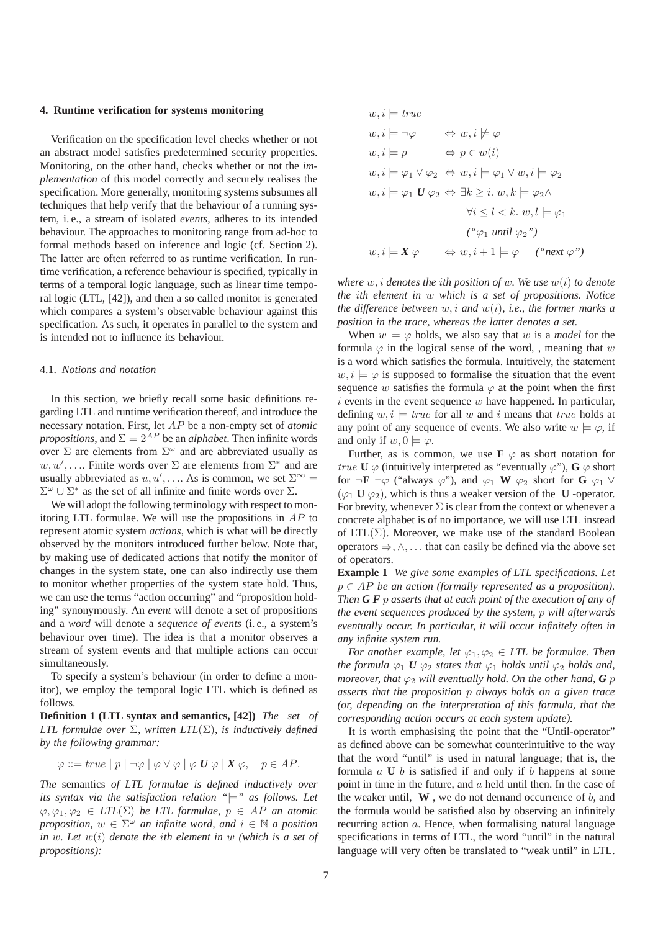#### **4. Runtime verification for systems monitoring**

Verification on the specification level checks whether or not an abstract model satisfies predetermined security properties. Monitoring, on the other hand, checks whether or not the *implementation* of this model correctly and securely realises the specification. More generally, monitoring systems subsumes all techniques that help verify that the behaviour of a running system, i. e., a stream of isolated *events*, adheres to its intended behaviour. The approaches to monitoring range from ad-hoc to formal methods based on inference and logic (cf. Section 2). The latter are often referred to as runtime verification. In runtime verification, a reference behaviour is specified, typically in terms of a temporal logic language, such as linear time temporal logic (LTL, [42]), and then a so called monitor is generated which compares a system's observable behaviour against this specification. As such, it operates in parallel to the system and is intended not to influence its behaviour.

### 4.1. *Notions and notation*

In this section, we briefly recall some basic definitions regarding LTL and runtime verification thereof, and introduce the necessary notation. First, let AP be a non-empty set of *atomic propositions*, and  $\Sigma = 2^{AP}$  be an *alphabet*. Then infinite words over  $\Sigma$  are elements from  $\Sigma^{\omega}$  and are abbreviated usually as  $w, w', \ldots$  Finite words over  $\Sigma$  are elements from  $\Sigma^*$  and are usually abbreviated as  $u, u', \ldots$  As is common, we set  $\Sigma^{\infty} =$  $\Sigma^{\omega} \cup \Sigma^{*}$  as the set of all infinite and finite words over  $\Sigma$ .

We will adopt the following terminology with respect to monitoring LTL formulae. We will use the propositions in AP to represent atomic system *actions*, which is what will be directly observed by the monitors introduced further below. Note that, by making use of dedicated actions that notify the monitor of changes in the system state, one can also indirectly use them to monitor whether properties of the system state hold. Thus, we can use the terms "action occurring" and "proposition holding" synonymously. An *event* will denote a set of propositions and a *word* will denote a *sequence of events* (i. e., a system's behaviour over time). The idea is that a monitor observes a stream of system events and that multiple actions can occur simultaneously.

To specify a system's behaviour (in order to define a monitor), we employ the temporal logic LTL which is defined as follows.

**Definition 1 (LTL syntax and semantics, [42])** *The set of LTL formulae over* Σ*, written LTL*(Σ)*, is inductively defined by the following grammar:*

$$
\varphi ::= true \mid p \mid \neg \varphi \mid \varphi \vee \varphi \mid \varphi \mathbf{U} \varphi \mid \mathbf{X} \varphi, \quad p \in AP.
$$

*The* semantics *of LTL formulae is defined inductively over its syntax via the satisfaction relation "*|=*" as follows. Let*  $\varphi, \varphi_1, \varphi_2 \in LTL(\Sigma)$  *be LTL formulae,*  $p \in AP$  *an atomic proposition,*  $w \in \Sigma^{\omega}$  *an infinite word, and*  $i \in \mathbb{N}$  *a position in* w*. Let* w(i) *denote the* i*th element in* w *(which is a set of propositions):*

$$
w, i \models true
$$
  
\n
$$
w, i \models \neg \varphi \qquad \Leftrightarrow w, i \not\models \varphi
$$
  
\n
$$
w, i \models p \qquad \Leftrightarrow p \in w(i)
$$
  
\n
$$
w, i \models \varphi_1 \lor \varphi_2 \Leftrightarrow w, i \models \varphi_1 \lor w, i \models \varphi_2
$$
  
\n
$$
w, i \models \varphi_1 \ U \varphi_2 \Leftrightarrow \exists k \geq i. \ w, k \models \varphi_2 \land
$$
  
\n
$$
\forall i \leq l < k. \ w, l \models \varphi_1
$$
  
\n
$$
(" \varphi_1 \ until \ \varphi_2")
$$
  
\n
$$
w, i \models X \varphi \qquad \Leftrightarrow w, i+1 \models \varphi \ ( "next \ \varphi")
$$

*where*  $w$ , *i* denotes the *i*th position of  $w$ . We use  $w(i)$  to denote *the* i*th element in* w *which is a set of propositions. Notice the difference between* w,i *and* w(i)*, i.e., the former marks a position in the trace, whereas the latter denotes a set.*

When  $w \models \varphi$  holds, we also say that w is a *model* for the formula  $\varphi$  in the logical sense of the word, , meaning that w is a word which satisfies the formula. Intuitively, the statement  $w, i \models \varphi$  is supposed to formalise the situation that the event sequence w satisfies the formula  $\varphi$  at the point when the first  $i$  events in the event sequence  $w$  have happened. In particular, defining  $w, i \models true$  for all w and i means that true holds at any point of any sequence of events. We also write  $w \models \varphi$ , if and only if  $w, 0 \models \varphi$ .

Further, as is common, we use **F**  $\varphi$  as short notation for *true* **U**  $\varphi$  (intuitively interpreted as "eventually  $\varphi$ "), **G**  $\varphi$  short for  $\neg$ **F**  $\neg$  $\varphi$  ("always  $\varphi$ "), and  $\varphi_1$  **W**  $\varphi_2$  short for **G**  $\varphi_1$   $\vee$  $(\varphi_1 \mathbf{U} \varphi_2)$ , which is thus a weaker version of the **U**-operator. For brevity, whenever  $\Sigma$  is clear from the context or whenever a concrete alphabet is of no importance, we will use LTL instead of LTL $(\Sigma)$ . Moreover, we make use of the standard Boolean operators  $\Rightarrow, \land, \dots$  that can easily be defined via the above set of operators.

**Example 1** *We give some examples of LTL specifications. Let* p ∈ AP *be an action (formally represented as a proposition). Then G F* p *asserts that at each point of the execution of any of the event sequences produced by the system,* p *will afterwards eventually occur. In particular, it will occur infinitely often in any infinite system run.*

*For another example, let*  $\varphi_1, \varphi_2 \in LTL$  *be formulae. Then the formula*  $\varphi_1$  *U*  $\varphi_2$  *states that*  $\varphi_1$  *holds until*  $\varphi_2$  *holds and, moreover, that*  $\varphi_2$  *will eventually hold. On the other hand,* **G** *p asserts that the proposition* p *always holds on a given trace (or, depending on the interpretation of this formula, that the corresponding action occurs at each system update).*

It is worth emphasising the point that the "Until-operator" as defined above can be somewhat counterintuitive to the way that the word "until" is used in natural language; that is, the formula  $\alpha$  **U**  $\beta$  is satisfied if and only if  $\beta$  happens at some point in time in the future, and a held until then. In the case of the weaker until,  $W$ , we do not demand occurrence of  $b$ , and the formula would be satisfied also by observing an infinitely recurring action a. Hence, when formalising natural language specifications in terms of LTL, the word "until" in the natural language will very often be translated to "weak until" in LTL.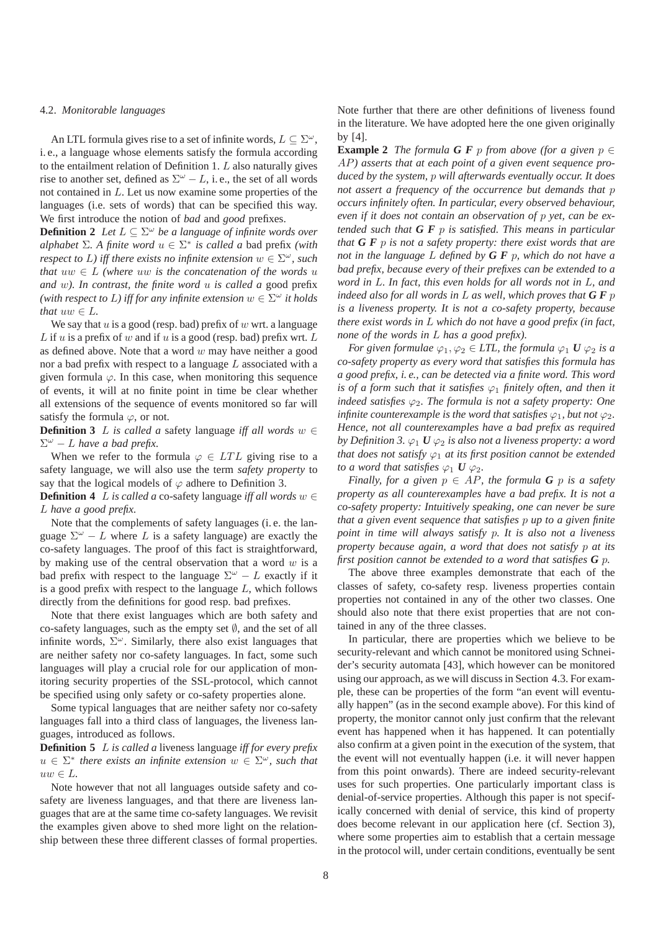#### 4.2. *Monitorable languages*

An LTL formula gives rise to a set of infinite words,  $L \subseteq \Sigma^{\omega}$ , i. e., a language whose elements satisfy the formula according to the entailment relation of Definition 1. L also naturally gives rise to another set, defined as  $\Sigma^{\omega} - L$ , i.e., the set of all words not contained in L. Let us now examine some properties of the languages (i.e. sets of words) that can be specified this way. We first introduce the notion of *bad* and *good* prefixes.

**Definition 2** Let  $L \subseteq \Sigma^{\omega}$  be a language of infinite words over *alphabet* Σ*. A finite word* u ∈ Σ ∗ *is called a* bad prefix *(with respect to L) iff there exists no infinite extension*  $w \in \Sigma^{\omega}$ *, such that*  $uw \in L$  *(where uw is the concatenation of the words u and* w*). In contrast, the finite word* u *is called a* good prefix *(with respect to L) iff for any infinite extension*  $w \in \Sigma^{\omega}$  *it holds that*  $uw \in L$ .

We say that  $u$  is a good (resp. bad) prefix of  $w$  wrt. a language L if u is a prefix of w and if u is a good (resp. bad) prefix wrt. L as defined above. Note that a word  $w$  may have neither a good nor a bad prefix with respect to a language L associated with a given formula  $\varphi$ . In this case, when monitoring this sequence of events, it will at no finite point in time be clear whether all extensions of the sequence of events monitored so far will satisfy the formula  $\varphi$ , or not.

**Definition 3** L *is called a* safety language *iff all words*  $w \in$  $\Sigma^{\omega}$  – L have a bad prefix.

When we refer to the formula  $\varphi \in LTL$  giving rise to a safety language, we will also use the term *safety property* to say that the logical models of  $\varphi$  adhere to Definition 3.

**Definition 4** L *is called a* co-safety language *iff all words*  $w \in$ L *have a good prefix.*

Note that the complements of safety languages (i. e. the language  $\Sigma^{\omega} - L$  where L is a safety language) are exactly the co-safety languages. The proof of this fact is straightforward, by making use of the central observation that a word  $w$  is a bad prefix with respect to the language  $\Sigma^{\omega} - L$  exactly if it is a good prefix with respect to the language  $L$ , which follows directly from the definitions for good resp. bad prefixes.

Note that there exist languages which are both safety and co-safety languages, such as the empty set ∅, and the set of all infinite words,  $\Sigma^{\omega}$ . Similarly, there also exist languages that are neither safety nor co-safety languages. In fact, some such languages will play a crucial role for our application of monitoring security properties of the SSL-protocol, which cannot be specified using only safety or co-safety properties alone.

Some typical languages that are neither safety nor co-safety languages fall into a third class of languages, the liveness languages, introduced as follows.

**Definition 5** L *is called a* liveness language *iff for every prefix*  $u \in \Sigma^*$  there exists an infinite extension  $w \in \Sigma^\omega$ , such that  $uw \in L$ .

Note however that not all languages outside safety and cosafety are liveness languages, and that there are liveness languages that are at the same time co-safety languages. We revisit the examples given above to shed more light on the relationship between these three different classes of formal properties. Note further that there are other definitions of liveness found in the literature. We have adopted here the one given originally by [4].

**Example 2** *The formula G*  $F$  *p from above (for a given*  $p \in$ AP*) asserts that at each point of a given event sequence produced by the system,* p *will afterwards eventually occur. It does not assert a frequency of the occurrence but demands that* p *occurs infinitely often. In particular, every observed behaviour, even if it does not contain an observation of* p *yet, can be extended such that G F* p *is satisfied. This means in particular that G F* p *is not a safety property: there exist words that are not in the language* L *defined by G F* p*, which do not have a bad prefix, because every of their prefixes can be extended to a word in* L*. In fact, this even holds for all words not in* L*, and indeed also for all words in* L *as well, which proves that G F* p *is a liveness property. It is not a co-safety property, because there exist words in* L *which do not have a good prefix (in fact, none of the words in* L *has a good prefix).*

*For given formulae*  $\varphi_1, \varphi_2 \in LTL$ , the formula  $\varphi_1$  *U*  $\varphi_2$  *is a co-safety property as every word that satisfies this formula has a good prefix, i. e., can be detected via a finite word. This word is of a form such that it satisfies*  $\varphi_1$  *finitely often, and then it indeed satisfies*  $\varphi_2$ *. The formula is not a safety property: One infinite counterexample is the word that satisfies*  $\varphi_1$ *, but not*  $\varphi_2$ *. Hence, not all counterexamples have a bad prefix as required by Definition 3.*  $\varphi_1$  *U*  $\varphi_2$  *is also not a liveness property: a word that does not satisfy*  $\varphi_1$  *at its first position cannot be extended to a word that satisfies*  $\varphi_1$  *U*  $\varphi_2$ *.* 

*Finally, for a given*  $p \in AP$ *, the formula*  $G$   $p$  *is a safety property as all counterexamples have a bad prefix. It is not a co-safety property: Intuitively speaking, one can never be sure that a given event sequence that satisfies* p *up to a given finite point in time will always satisfy* p*. It is also not a liveness property because again, a word that does not satisfy* p *at its first position cannot be extended to a word that satisfies G* p*.*

The above three examples demonstrate that each of the classes of safety, co-safety resp. liveness properties contain properties not contained in any of the other two classes. One should also note that there exist properties that are not contained in any of the three classes.

In particular, there are properties which we believe to be security-relevant and which cannot be monitored using Schneider's security automata [43], which however can be monitored using our approach, as we will discuss in Section 4.3. For example, these can be properties of the form "an event will eventually happen" (as in the second example above). For this kind of property, the monitor cannot only just confirm that the relevant event has happened when it has happened. It can potentially also confirm at a given point in the execution of the system, that the event will not eventually happen (i.e. it will never happen from this point onwards). There are indeed security-relevant uses for such properties. One particularly important class is denial-of-service properties. Although this paper is not specifically concerned with denial of service, this kind of property does become relevant in our application here (cf. Section 3), where some properties aim to establish that a certain message in the protocol will, under certain conditions, eventually be sent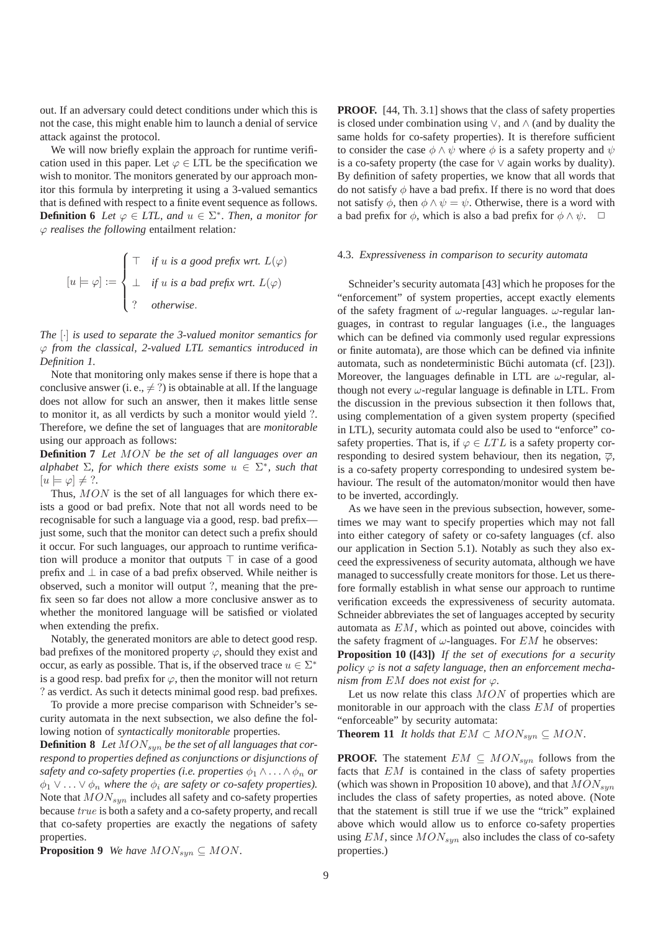out. If an adversary could detect conditions under which this is not the case, this might enable him to launch a denial of service attack against the protocol.

We will now briefly explain the approach for runtime verification used in this paper. Let  $\varphi \in LTL$  be the specification we wish to monitor. The monitors generated by our approach monitor this formula by interpreting it using a 3-valued semantics that is defined with respect to a finite event sequence as follows. **Definition 6** Let  $\varphi \in LTL$ , and  $u \in \Sigma^*$ . Then, a monitor for ϕ *realises the following* entailment relation*:*

$$
[u \models \varphi] := \begin{cases} \top & \text{if } u \text{ is a good prefix wrt. } L(\varphi) \\ \bot & \text{if } u \text{ is a bad prefix wrt. } L(\varphi) \\ ? & \text{otherwise.} \end{cases}
$$

*The* [·] *is used to separate the 3-valued monitor semantics for* ϕ *from the classical, 2-valued LTL semantics introduced in Definition 1.*

Note that monitoring only makes sense if there is hope that a conclusive answer (i. e.,  $\neq$  ?) is obtainable at all. If the language does not allow for such an answer, then it makes little sense to monitor it, as all verdicts by such a monitor would yield ?. Therefore, we define the set of languages that are *monitorable* using our approach as follows:

**Definition 7** *Let* MON *be the set of all languages over an*  $\alpha$  alphabet  $\Sigma$ , for which there exists some  $u \in \Sigma^*$ , such that  $[u \models \varphi] \neq ?$ .

Thus, MON is the set of all languages for which there exists a good or bad prefix. Note that not all words need to be recognisable for such a language via a good, resp. bad prefix just some, such that the monitor can detect such a prefix should it occur. For such languages, our approach to runtime verification will produce a monitor that outputs ⊤ in case of a good prefix and ⊥ in case of a bad prefix observed. While neither is observed, such a monitor will output ?, meaning that the prefix seen so far does not allow a more conclusive answer as to whether the monitored language will be satisfied or violated when extending the prefix.

Notably, the generated monitors are able to detect good resp. bad prefixes of the monitored property  $\varphi$ , should they exist and occur, as early as possible. That is, if the observed trace  $u \in \Sigma^*$ is a good resp. bad prefix for  $\varphi$ , then the monitor will not return ? as verdict. As such it detects minimal good resp. bad prefixes.

To provide a more precise comparison with Schneider's security automata in the next subsection, we also define the following notion of *syntactically monitorable* properties.

**Definition 8** Let  $MON_{syn}$  be the set of all languages that cor*respond to properties defined as conjunctions or disjunctions of safety and co-safety properties (i.e. properties*  $\phi_1 \wedge \ldots \wedge \phi_n$  *or*  $\phi_1 \vee \ldots \vee \phi_n$  *where the*  $\phi_i$  *are safety or co-safety properties).* Note that  $MON_{syn}$  includes all safety and co-safety properties because true is both a safety and a co-safety property, and recall that co-safety properties are exactly the negations of safety properties.

**Proposition 9** *We have*  $MON_{sun} \subseteq MON$ .

**PROOF.** [44, Th. 3.1] shows that the class of safety properties is closed under combination using ∨, and ∧ (and by duality the same holds for co-safety properties). It is therefore sufficient to consider the case  $\phi \land \psi$  where  $\phi$  is a safety property and  $\psi$ is a co-safety property (the case for  $\vee$  again works by duality). By definition of safety properties, we know that all words that do not satisfy  $\phi$  have a bad prefix. If there is no word that does not satisfy  $\phi$ , then  $\phi \wedge \psi = \psi$ . Otherwise, there is a word with a bad prefix for  $\phi$ , which is also a bad prefix for  $\phi \land \psi$ .  $\Box$ 

#### 4.3. *Expressiveness in comparison to security automata*

Schneider's security automata [43] which he proposes for the "enforcement" of system properties, accept exactly elements of the safety fragment of  $\omega$ -regular languages.  $\omega$ -regular languages, in contrast to regular languages (i.e., the languages which can be defined via commonly used regular expressions or finite automata), are those which can be defined via infinite automata, such as nondeterministic Büchi automata (cf. [23]). Moreover, the languages definable in LTL are  $\omega$ -regular, although not every  $\omega$ -regular language is definable in LTL. From the discussion in the previous subsection it then follows that, using complementation of a given system property (specified in LTL), security automata could also be used to "enforce" cosafety properties. That is, if  $\varphi \in LTL$  is a safety property corresponding to desired system behaviour, then its negation,  $\overline{\varphi}$ , is a co-safety property corresponding to undesired system behaviour. The result of the automaton/monitor would then have to be inverted, accordingly.

As we have seen in the previous subsection, however, sometimes we may want to specify properties which may not fall into either category of safety or co-safety languages (cf. also our application in Section 5.1). Notably as such they also exceed the expressiveness of security automata, although we have managed to successfully create monitors for those. Let us therefore formally establish in what sense our approach to runtime verification exceeds the expressiveness of security automata. Schneider abbreviates the set of languages accepted by security automata as EM, which as pointed out above, coincides with the safety fragment of  $\omega$ -languages. For  $EM$  he observes:

**Proposition 10 ([43])** *If the set of executions for a security policy*  $\varphi$  *is not a safety language, then an enforcement mechanism from EM does not exist for*  $\varphi$ *.* 

Let us now relate this class  $MON$  of properties which are monitorable in our approach with the class  $EM$  of properties "enforceable" by security automata:

**Theorem 11** *It holds that*  $EM \subset MON_{sum} \subset MON$ .

**PROOF.** The statement  $EM \subseteq MON_{syn}$  follows from the facts that EM is contained in the class of safety properties (which was shown in Proposition 10 above), and that  $MON_{sun}$ includes the class of safety properties, as noted above. (Note that the statement is still true if we use the "trick" explained above which would allow us to enforce co-safety properties using  $EM$ , since  $MON_{sun}$  also includes the class of co-safety properties.)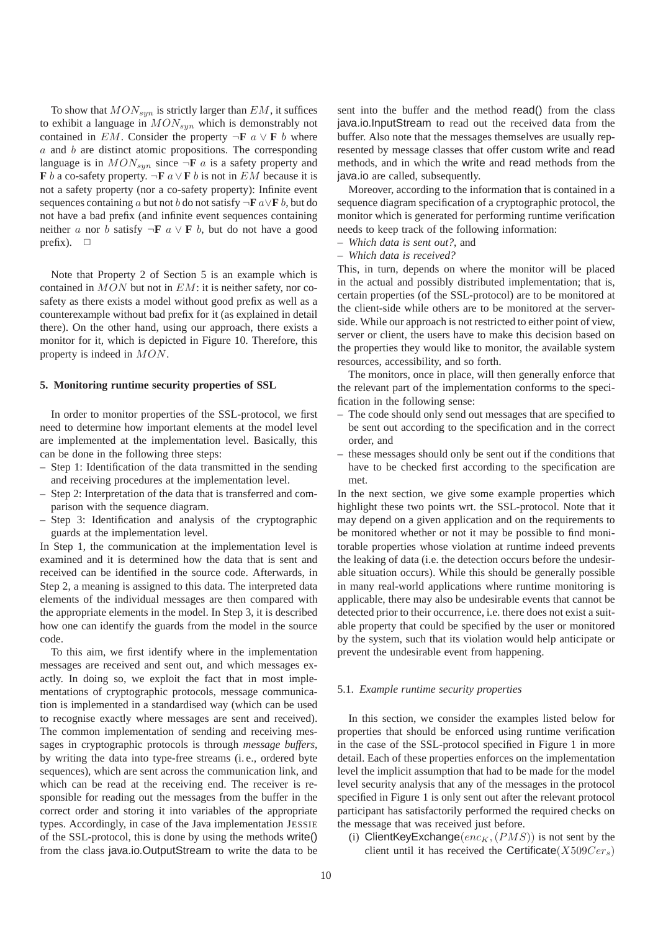To show that  $MON_{sun}$  is strictly larger than  $EM$ , it suffices to exhibit a language in  $MON_{syn}$  which is demonstrably not contained in EM. Consider the property  $\neg$ **F**  $a \lor$  **F**  $b$  where a and b are distinct atomic propositions. The corresponding language is in  $MON_{sun}$  since  $\neg$ **F** a is a safety property and **F** b a co-safety property.  $\neg$ **F**  $a \lor$  **F**  $b$  is not in *EM* because it is not a safety property (nor a co-safety property): Infinite event sequences containing a but not b do not satisfy  $\neg$ **F** a $\vee$ **F** b, but do not have a bad prefix (and infinite event sequences containing neither a nor b satisfy  $\neg$ **F**  $a \lor$  **F**  $b$ , but do not have a good prefix).  $\square$ 

Note that Property 2 of Section 5 is an example which is contained in  $MON$  but not in  $EM$ : it is neither safety, nor cosafety as there exists a model without good prefix as well as a counterexample without bad prefix for it (as explained in detail there). On the other hand, using our approach, there exists a monitor for it, which is depicted in Figure 10. Therefore, this property is indeed in MON.

### **5. Monitoring runtime security properties of SSL**

In order to monitor properties of the SSL-protocol, we first need to determine how important elements at the model level are implemented at the implementation level. Basically, this can be done in the following three steps:

- Step 1: Identification of the data transmitted in the sending and receiving procedures at the implementation level.
- Step 2: Interpretation of the data that is transferred and comparison with the sequence diagram.
- Step 3: Identification and analysis of the cryptographic guards at the implementation level.

In Step 1, the communication at the implementation level is examined and it is determined how the data that is sent and received can be identified in the source code. Afterwards, in Step 2, a meaning is assigned to this data. The interpreted data elements of the individual messages are then compared with the appropriate elements in the model. In Step 3, it is described how one can identify the guards from the model in the source code.

To this aim, we first identify where in the implementation messages are received and sent out, and which messages exactly. In doing so, we exploit the fact that in most implementations of cryptographic protocols, message communication is implemented in a standardised way (which can be used to recognise exactly where messages are sent and received). The common implementation of sending and receiving messages in cryptographic protocols is through *message buffers*, by writing the data into type-free streams (i. e., ordered byte sequences), which are sent across the communication link, and which can be read at the receiving end. The receiver is responsible for reading out the messages from the buffer in the correct order and storing it into variables of the appropriate types. Accordingly, in case of the Java implementation JESSIE of the SSL-protocol, this is done by using the methods write() from the class java.io.OutputStream to write the data to be

sent into the buffer and the method read() from the class java.io.InputStream to read out the received data from the buffer. Also note that the messages themselves are usually represented by message classes that offer custom write and read methods, and in which the write and read methods from the java.io are called, subsequently.

Moreover, according to the information that is contained in a sequence diagram specification of a cryptographic protocol, the monitor which is generated for performing runtime verification needs to keep track of the following information:

- *Which data is sent out?*, and
- *Which data is received?*

This, in turn, depends on where the monitor will be placed in the actual and possibly distributed implementation; that is, certain properties (of the SSL-protocol) are to be monitored at the client-side while others are to be monitored at the serverside. While our approach is not restricted to either point of view, server or client, the users have to make this decision based on the properties they would like to monitor, the available system resources, accessibility, and so forth.

The monitors, once in place, will then generally enforce that the relevant part of the implementation conforms to the specification in the following sense:

- The code should only send out messages that are specified to be sent out according to the specification and in the correct order, and
- these messages should only be sent out if the conditions that have to be checked first according to the specification are met.

In the next section, we give some example properties which highlight these two points wrt. the SSL-protocol. Note that it may depend on a given application and on the requirements to be monitored whether or not it may be possible to find monitorable properties whose violation at runtime indeed prevents the leaking of data (i.e. the detection occurs before the undesirable situation occurs). While this should be generally possible in many real-world applications where runtime monitoring is applicable, there may also be undesirable events that cannot be detected prior to their occurrence, i.e. there does not exist a suitable property that could be specified by the user or monitored by the system, such that its violation would help anticipate or prevent the undesirable event from happening.

### 5.1. *Example runtime security properties*

In this section, we consider the examples listed below for properties that should be enforced using runtime verification in the case of the SSL-protocol specified in Figure 1 in more detail. Each of these properties enforces on the implementation level the implicit assumption that had to be made for the model level security analysis that any of the messages in the protocol specified in Figure 1 is only sent out after the relevant protocol participant has satisfactorily performed the required checks on the message that was received just before.

(i) ClientKeyExchange $(enc_K,(PMS))$  is not sent by the client until it has received the Certificate $(X509Cer_s)$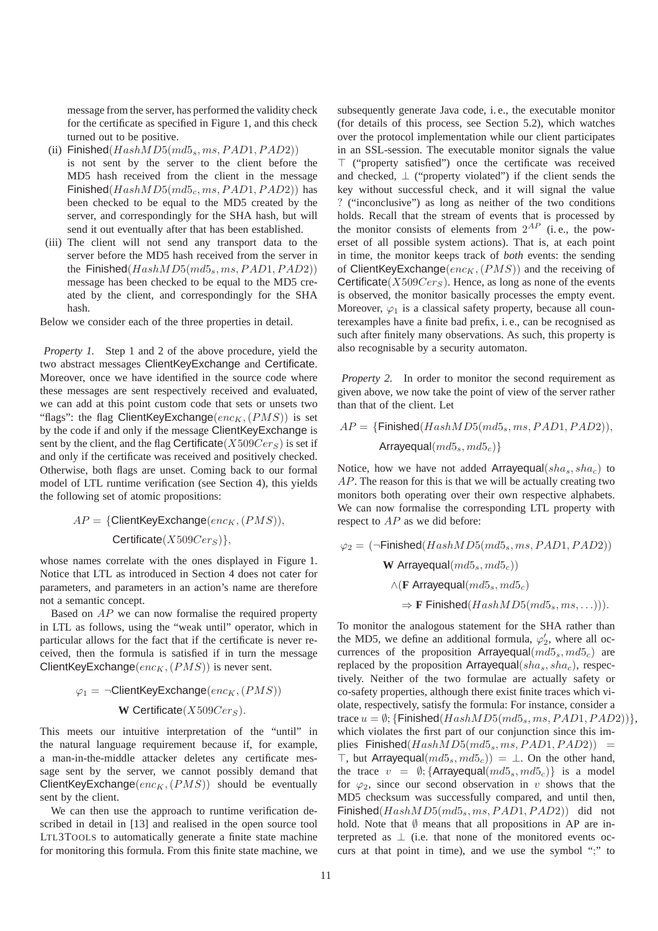message from the server, has performed the validity check for the certificate as specified in Figure 1, and this check turned out to be positive.

- (ii)  $\textsf{Finished}(HashMD5(md5_s,ms, PAD1, PAD2))$ is not sent by the server to the client before the
- MD5 hash received from the client in the message Finished( $HashMD5(md5_c,ms, PAD1, PAD2)$ ) has been checked to be equal to the MD5 created by the server, and correspondingly for the SHA hash, but will send it out eventually after that has been established.
- (iii) The client will not send any transport data to the server before the MD5 hash received from the server in the Finished( $HashMD5(md5<sub>s</sub>,ms, PAD1, PAD2)$ ) message has been checked to be equal to the MD5 created by the client, and correspondingly for the SHA hash.

Below we consider each of the three properties in detail.

*Property 1.* Step 1 and 2 of the above procedure, yield the two abstract messages ClientKeyExchange and Certificate. Moreover, once we have identified in the source code where these messages are sent respectively received and evaluated, we can add at this point custom code that sets or unsets two "flags": the flag ClientKeyExchange( $enc_K,(PMS)$ ) is set by the code if and only if the message ClientKeyExchange is sent by the client, and the flag Certificate( $X509Cer_S$ ) is set if and only if the certificate was received and positively checked. Otherwise, both flags are unset. Coming back to our formal model of LTL runtime verification (see Section 4), this yields the following set of atomic propositions:

# $AP = \{ClientKeyExchange(enc_K,(PMS)),\}$

Certificate $(X509Cer_S)$ ,

whose names correlate with the ones displayed in Figure 1. Notice that LTL as introduced in Section 4 does not cater for parameters, and parameters in an action's name are therefore not a semantic concept.

Based on AP we can now formalise the required property in LTL as follows, using the "weak until" operator, which in particular allows for the fact that if the certificate is never received, then the formula is satisfied if in turn the message ClientKeyExchange( $enc_K,(PMS)$ ) is never sent.

# $\varphi_1 = \neg$ ClientKeyExchange $(enc_K,(PMS))$ **W** Certificate( $X509Cer_S$ ).

This meets our intuitive interpretation of the "until" in the natural language requirement because if, for example, a man-in-the-middle attacker deletes any certificate message sent by the server, we cannot possibly demand that ClientKeyExchange( $enc_K,(PMS)$ ) should be eventually sent by the client.

We can then use the approach to runtime verification described in detail in [13] and realised in the open source tool LTL3TOOLS to automatically generate a finite state machine for monitoring this formula. From this finite state machine, we

subsequently generate Java code, i. e., the executable monitor (for details of this process, see Section 5.2), which watches over the protocol implementation while our client participates in an SSL-session. The executable monitor signals the value ⊤ ("property satisfied") once the certificate was received and checked,  $\perp$  ("property violated") if the client sends the key without successful check, and it will signal the value ? ("inconclusive") as long as neither of the two conditions holds. Recall that the stream of events that is processed by the monitor consists of elements from  $2^{AP}$  (i.e., the powerset of all possible system actions). That is, at each point in time, the monitor keeps track of *both* events: the sending of ClientKeyExchange $(enc<sub>K</sub>,(PMS))$  and the receiving of Certificate( $X509Cer<sub>S</sub>$ ). Hence, as long as none of the events is observed, the monitor basically processes the empty event. Moreover,  $\varphi_1$  is a classical safety property, because all counterexamples have a finite bad prefix, i. e., can be recognised as such after finitely many observations. As such, this property is also recognisable by a security automaton.

*Property 2.* In order to monitor the second requirement as given above, we now take the point of view of the server rather than that of the client. Let

$$
AP = \{\textsf{Finished}(HashMD5(md5_s, ms, PAD1, PAD2)), \\ \textsf{Arrayequal}(md5_s, md5_c)\}
$$

Notice, how we have not added Arrayequal( $sha_s, sha_c$ ) to AP. The reason for this is that we will be actually creating two monitors both operating over their own respective alphabets. We can now formalise the corresponding LTL property with respect to  $AP$  as we did before:

$$
\varphi_2 = (\neg \text{Finished}(HashMD5 (md5_s, ms, PAD1, PAD2))
$$
  
**W** Arrayequal( $md5_s, md5_c$ ))  

$$
\land (\text{F} \text{Arrayequal}(md5_s, md5_c)
$$

$$
\Rightarrow \text{F} \text{Finished}(HashMD5 (md5_s, ms, ...))).
$$

To monitor the analogous statement for the SHA rather than the MD5, we define an additional formula,  $\varphi'_2$ , where all occurrences of the proposition Arrayequal $(md5<sub>s</sub>, md5<sub>c</sub>)$  are replaced by the proposition Arrayequal( $sha_s, sha_c$ ), respectively. Neither of the two formulae are actually safety or co-safety properties, although there exist finite traces which violate, respectively, satisfy the formula: For instance, consider a trace  $u = \emptyset$ ; {Finished( $HashMD5(md5<sub>s</sub>,ms, PAD1, PAD2)$ }, which violates the first part of our conjunction since this implies  $\textsf{Finished}(HashMD5(md5_s,ms, PAD1, PAD2)) =$ ⊤, but Arrayequal $(md5<sub>s</sub>, md5<sub>c</sub>)$  = ⊥. On the other hand, the trace  $v = \emptyset$ ; {Arrayequal( $md5<sub>s</sub>$ ,  $md5<sub>c</sub>$ )} is a model for  $\varphi_2$ , since our second observation in v shows that the MD5 checksum was successfully compared, and until then, Finished( $HashMD5(md5<sub>s</sub>,ms, PAD1, PAD2)$ ) did not hold. Note that  $\emptyset$  means that all propositions in AP are interpreted as  $\perp$  (i.e. that none of the monitored events occurs at that point in time), and we use the symbol ";" to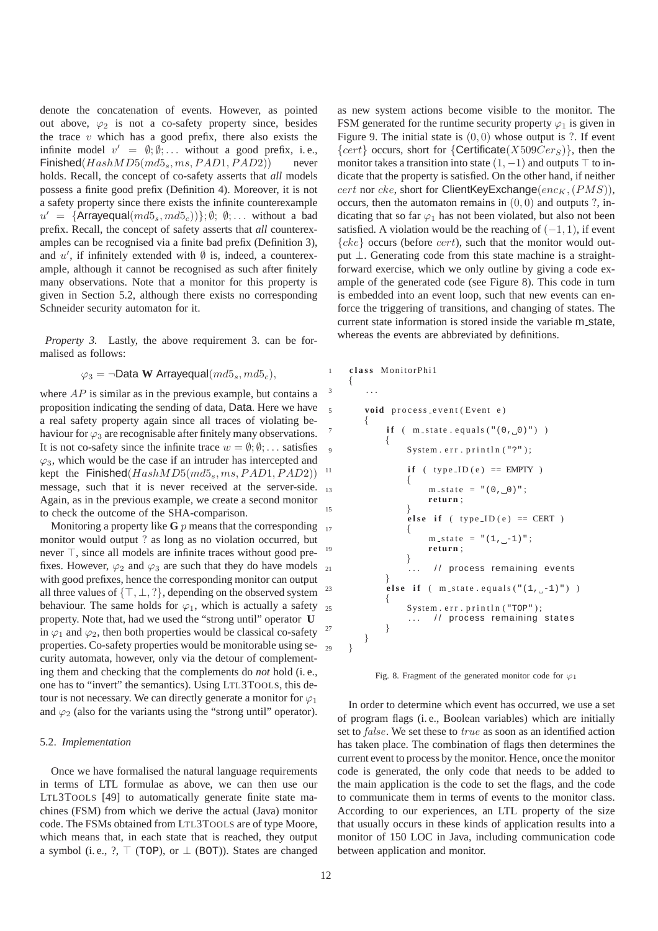denote the concatenation of events. However, as pointed out above,  $\varphi_2$  is not a co-safety property since, besides the trace  $v$  which has a good prefix, there also exists the infinite model  $v' = \emptyset; \emptyset; \ldots$  without a good prefix, i.e.,  $\textsf{Finished}(HashMD5(md5_s,ms, PAD1, PAD2))$  never holds. Recall, the concept of co-safety asserts that *all* models possess a finite good prefix (Definition 4). Moreover, it is not a safety property since there exists the infinite counterexample  $u' = \{Arrayequal(md5<sub>s</sub>, md5<sub>c</sub>))\}; \emptyset; \emptyset; \dots$  without a bad prefix. Recall, the concept of safety asserts that *all* counterexamples can be recognised via a finite bad prefix (Definition 3), and  $u'$ , if infinitely extended with  $\emptyset$  is, indeed, a counterexample, although it cannot be recognised as such after finitely many observations. Note that a monitor for this property is given in Section 5.2, although there exists no corresponding Schneider security automaton for it.

*Property 3.* Lastly, the above requirement 3. can be formalised as follows:

$$
\varphi_3 = \neg \mathsf{Data}\ \mathbf{W}\ \mathsf{Arrayequal}(md5_s,md5_c),
$$

where  $AP$  is similar as in the previous example, but contains a proposition indicating the sending of data, Data. Here we have a real safety property again since all traces of violating behaviour for  $\varphi_3$  are recognisable after finitely many observations. It is not co-safety since the infinite trace  $w = \emptyset; \emptyset; \dots$  satisfies  $\varphi_3$ , which would be the case if an intruder has intercepted and kept the Finished( $HashMD5(md5<sub>s</sub>,ms, PAD1, PAD2))$ message, such that it is never received at the server-side. 13 Again, as in the previous example, we create a second monitor to check the outcome of the SHA-comparison.

Monitoring a property like **G**  $p$  means that the corresponding  $_{17}$ monitor would output ? as long as no violation occurred, but never ⊤, since all models are infinite traces without good prefixes. However,  $\varphi_2$  and  $\varphi_3$  are such that they do have models <sub>21</sub> with good prefixes, hence the corresponding monitor can output all three values of {⊤, ⊥, ?}, depending on the observed system behaviour. The same holds for  $\varphi_1$ , which is actually a safety property. Note that, had we used the "strong until" operator **U** in  $\varphi_1$  and  $\varphi_2$ , then both properties would be classical co-safety properties. Co-safety properties would be monitorable using security automata, however, only via the detour of complementing them and checking that the complements do *not* hold (i. e., one has to "invert" the semantics). Using LTL3TOOLS, this detour is not necessary. We can directly generate a monitor for  $\varphi_1$ and  $\varphi_2$  (also for the variants using the "strong until" operator).

## 5.2. *Implementation*

Once we have formalised the natural language requirements in terms of LTL formulae as above, we can then use our LTL3TOOLS [49] to automatically generate finite state machines (FSM) from which we derive the actual (Java) monitor code. The FSMs obtained from LTL3TOOLS are of type Moore, which means that, in each state that is reached, they output a symbol (i.e., ?,  $\top$  (TOP), or  $\bot$  (BOT)). States are changed as new system actions become visible to the monitor. The FSM generated for the runtime security property  $\varphi_1$  is given in Figure 9. The initial state is  $(0, 0)$  whose output is ?. If event  $\{cert\}$  occurs, short for  $\{Cert\text{'ficate}(X509Cer_S)\},$  then the monitor takes a transition into state  $(1, -1)$  and outputs  $\top$  to indicate that the property is satisfied. On the other hand, if neither cert nor cke, short for ClientKeyExchange(enc<sub>K</sub>,(PMS)), occurs, then the automaton remains in  $(0, 0)$  and outputs ?, indicating that so far  $\varphi_1$  has not been violated, but also not been satisfied. A violation would be the reaching of  $(-1, 1)$ , if event  $\{cke\}$  occurs (before *cert*), such that the monitor would output ⊥. Generating code from this state machine is a straightforward exercise, which we only outline by giving a code example of the generated code (see Figure 8). This code in turn is embedded into an event loop, such that new events can enforce the triggering of transitions, and changing of states. The current state information is stored inside the variable m\_state, whereas the events are abbreviated by definitions.

```
1 c l a s s MonitorPhi1
    {
 3 . . .
       void process_event (Event e)
       {
          if (m_{{}_{-}}state \cdot equals(m_{{}_{1}}(0, 0)))
          {
9 System.err.println("?");
11 if ( type\_ID(e) == EMPTY )
              {
                  m_s state = (0, 0)";
                  return ;
15 }
              else if (type.ID(e) == CERT)17 {
                  m_s state = "(1, -1)";
19 return ;
              }
                   // process remaining events
          }
23 else if (m_state.equals ("(1, -1)"))
          {
25 System . err . println ("TOP");
              \ldots // process remaining states
27 }
       }
29 }
```
Fig. 8. Fragment of the generated monitor code for  $\varphi_1$ 

In order to determine which event has occurred, we use a set of program flags (i. e., Boolean variables) which are initially set to false. We set these to true as soon as an identified action has taken place. The combination of flags then determines the current event to process by the monitor. Hence, once the monitor code is generated, the only code that needs to be added to the main application is the code to set the flags, and the code to communicate them in terms of events to the monitor class. According to our experiences, an LTL property of the size that usually occurs in these kinds of application results into a monitor of 150 LOC in Java, including communication code between application and monitor.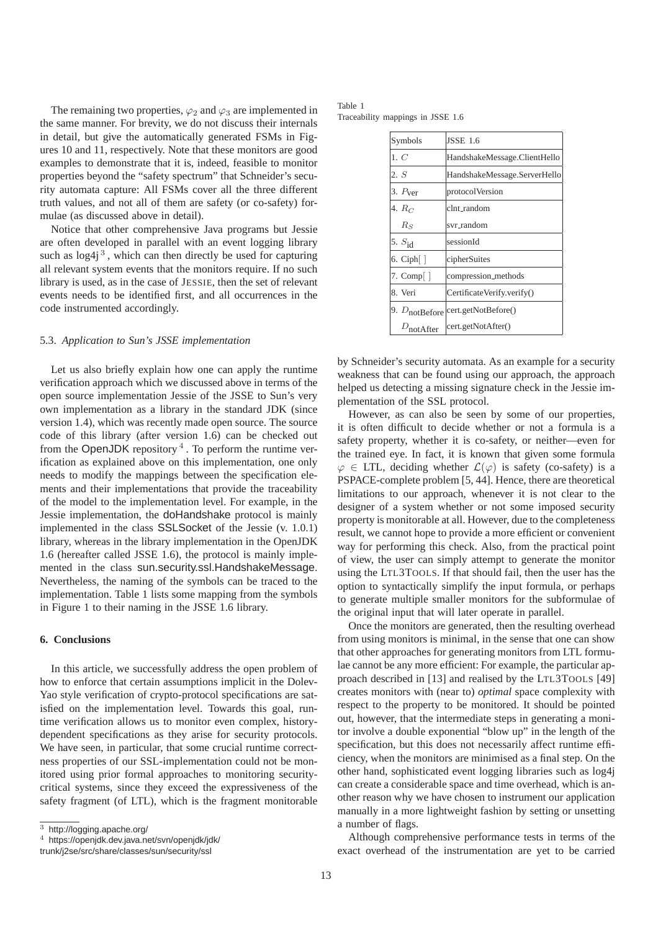The remaining two properties,  $\varphi_2$  and  $\varphi_3$  are implemented in the same manner. For brevity, we do not discuss their internals in detail, but give the automatically generated FSMs in Figures 10 and 11, respectively. Note that these monitors are good examples to demonstrate that it is, indeed, feasible to monitor properties beyond the "safety spectrum" that Schneider's security automata capture: All FSMs cover all the three different truth values, and not all of them are safety (or co-safety) formulae (as discussed above in detail).

Notice that other comprehensive Java programs but Jessie are often developed in parallel with an event logging library such as  $\log 4j^3$ , which can then directly be used for capturing all relevant system events that the monitors require. If no such library is used, as in the case of JESSIE, then the set of relevant events needs to be identified first, and all occurrences in the code instrumented accordingly.

#### 5.3. *Application to Sun's JSSE implementation*

Let us also briefly explain how one can apply the runtime verification approach which we discussed above in terms of the open source implementation Jessie of the JSSE to Sun's very own implementation as a library in the standard JDK (since version 1.4), which was recently made open source. The source code of this library (after version 1.6) can be checked out from the OpenJDK repository  $4$ . To perform the runtime verification as explained above on this implementation, one only needs to modify the mappings between the specification elements and their implementations that provide the traceability of the model to the implementation level. For example, in the Jessie implementation, the doHandshake protocol is mainly implemented in the class SSLSocket of the Jessie (v. 1.0.1) library, whereas in the library implementation in the OpenJDK 1.6 (hereafter called JSSE 1.6), the protocol is mainly implemented in the class sun.security.ssl.HandshakeMessage. Nevertheless, the naming of the symbols can be traced to the implementation. Table 1 lists some mapping from the symbols in Figure 1 to their naming in the JSSE 1.6 library.

## **6. Conclusions**

In this article, we successfully address the open problem of how to enforce that certain assumptions implicit in the Dolev-Yao style verification of crypto-protocol specifications are satisfied on the implementation level. Towards this goal, runtime verification allows us to monitor even complex, historydependent specifications as they arise for security protocols. We have seen, in particular, that some crucial runtime correctness properties of our SSL-implementation could not be monitored using prior formal approaches to monitoring securitycritical systems, since they exceed the expressiveness of the safety fragment (of LTL), which is the fragment monitorable Table 1 Traceability mappings in JSSE 1.6

| Symbols                   | <b>JSSE 1.6</b>              |
|---------------------------|------------------------------|
| 1. C                      | HandshakeMessage.ClientHello |
| 2. S                      | HandshakeMessage.ServerHello |
| $3.$ $Pver$               | protocolVersion              |
| 4. $R_C$                  | clnt_random                  |
| $R_{S}$                   | svr random                   |
| 5. $S_{id}$               | sessionId                    |
| 6. Ciph $\lceil$          | cipherSuites                 |
| 7. $Compl$                | compression_methods          |
| 8. Veri                   | Certificate Verify.verify()  |
| 9. $D_{\text{notBefore}}$ | cert.getNotBefore()          |
| $D_{\text{notAfter}}$     | cert.getNotAfter()           |

by Schneider's security automata. As an example for a security weakness that can be found using our approach, the approach helped us detecting a missing signature check in the Jessie implementation of the SSL protocol.

However, as can also be seen by some of our properties, it is often difficult to decide whether or not a formula is a safety property, whether it is co-safety, or neither—even for the trained eye. In fact, it is known that given some formula  $\varphi \in \text{LTL}$ , deciding whether  $\mathcal{L}(\varphi)$  is safety (co-safety) is a PSPACE-complete problem [5, 44]. Hence, there are theoretical limitations to our approach, whenever it is not clear to the designer of a system whether or not some imposed security property is monitorable at all. However, due to the completeness result, we cannot hope to provide a more efficient or convenient way for performing this check. Also, from the practical point of view, the user can simply attempt to generate the monitor using the LTL3TOOLS. If that should fail, then the user has the option to syntactically simplify the input formula, or perhaps to generate multiple smaller monitors for the subformulae of the original input that will later operate in parallel.

Once the monitors are generated, then the resulting overhead from using monitors is minimal, in the sense that one can show that other approaches for generating monitors from LTL formulae cannot be any more efficient: For example, the particular approach described in [13] and realised by the LTL3TOOLS [49] creates monitors with (near to) *optimal* space complexity with respect to the property to be monitored. It should be pointed out, however, that the intermediate steps in generating a monitor involve a double exponential "blow up" in the length of the specification, but this does not necessarily affect runtime efficiency, when the monitors are minimised as a final step. On the other hand, sophisticated event logging libraries such as log4j can create a considerable space and time overhead, which is another reason why we have chosen to instrument our application manually in a more lightweight fashion by setting or unsetting a number of flags.

Although comprehensive performance tests in terms of the exact overhead of the instrumentation are yet to be carried

<sup>3</sup> http://logging.apache.org/

<sup>4</sup> https://openjdk.dev.java.net/svn/openjdk/jdk/

trunk/j2se/src/share/classes/sun/security/ssl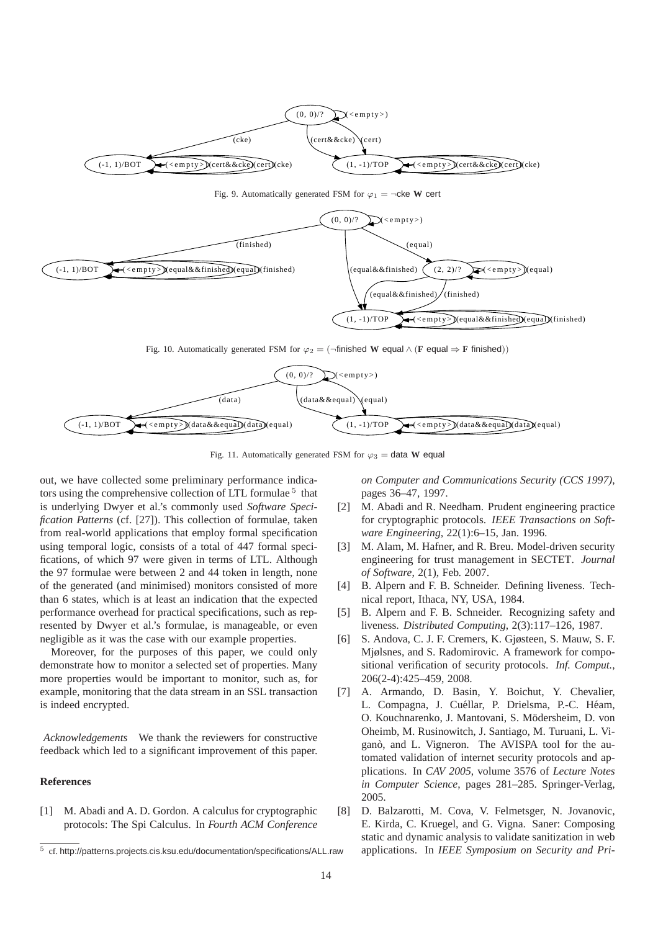

Fig. 11. Automatically generated FSM for  $\varphi_3$  = data **W** equal

out, we have collected some preliminary performance indicators using the comprehensive collection of LTL formulae <sup>5</sup> that is underlying Dwyer et al.'s commonly used *Software Specification Patterns* (cf. [27]). This collection of formulae, taken from real-world applications that employ formal specification using temporal logic, consists of a total of 447 formal specifications, of which 97 were given in terms of LTL. Although the 97 formulae were between 2 and 44 token in length, none of the generated (and minimised) monitors consisted of more than 6 states, which is at least an indication that the expected performance overhead for practical specifications, such as represented by Dwyer et al.'s formulae, is manageable, or even negligible as it was the case with our example properties.

Moreover, for the purposes of this paper, we could only demonstrate how to monitor a selected set of properties. Many more properties would be important to monitor, such as, for example, monitoring that the data stream in an SSL transaction is indeed encrypted.

*Acknowledgements* We thank the reviewers for constructive feedback which led to a significant improvement of this paper.

# **References**

[1] M. Abadi and A. D. Gordon. A calculus for cryptographic protocols: The Spi Calculus. In *Fourth ACM Conference* *on Computer and Communications Security (CCS 1997)*, pages 36–47, 1997.

- [2] M. Abadi and R. Needham. Prudent engineering practice for cryptographic protocols. *IEEE Transactions on Software Engineering*, 22(1):6–15, Jan. 1996.
- [3] M. Alam, M. Hafner, and R. Breu. Model-driven security engineering for trust management in SECTET. *Journal of Software*, 2(1), Feb. 2007.
- [4] B. Alpern and F. B. Schneider. Defining liveness. Technical report, Ithaca, NY, USA, 1984.
- [5] B. Alpern and F. B. Schneider. Recognizing safety and liveness. *Distributed Computing*, 2(3):117–126, 1987.
- [6] S. Andova, C. J. F. Cremers, K. Gjøsteen, S. Mauw, S. F. Mjølsnes, and S. Radomirovic. A framework for compositional verification of security protocols. *Inf. Comput.*, 206(2-4):425–459, 2008.
- [7] A. Armando, D. Basin, Y. Boichut, Y. Chevalier, L. Compagna, J. Cuéllar, P. Drielsma, P.-C. Héam, O. Kouchnarenko, J. Mantovani, S. Modersheim, D. von ¨ Oheimb, M. Rusinowitch, J. Santiago, M. Turuani, L. Viganò, and L. Vigneron. The AVISPA tool for the automated validation of internet security protocols and applications. In *CAV 2005*, volume 3576 of *Lecture Notes in Computer Science*, pages 281–285. Springer-Verlag, 2005.
- [8] D. Balzarotti, M. Cova, V. Felmetsger, N. Jovanovic, E. Kirda, C. Kruegel, and G. Vigna. Saner: Composing static and dynamic analysis to validate sanitization in web applications. In *IEEE Symposium on Security and Pri-*

<sup>5</sup> cf. http://patterns.projects.cis.ksu.edu/documentation/specifications/ALL.raw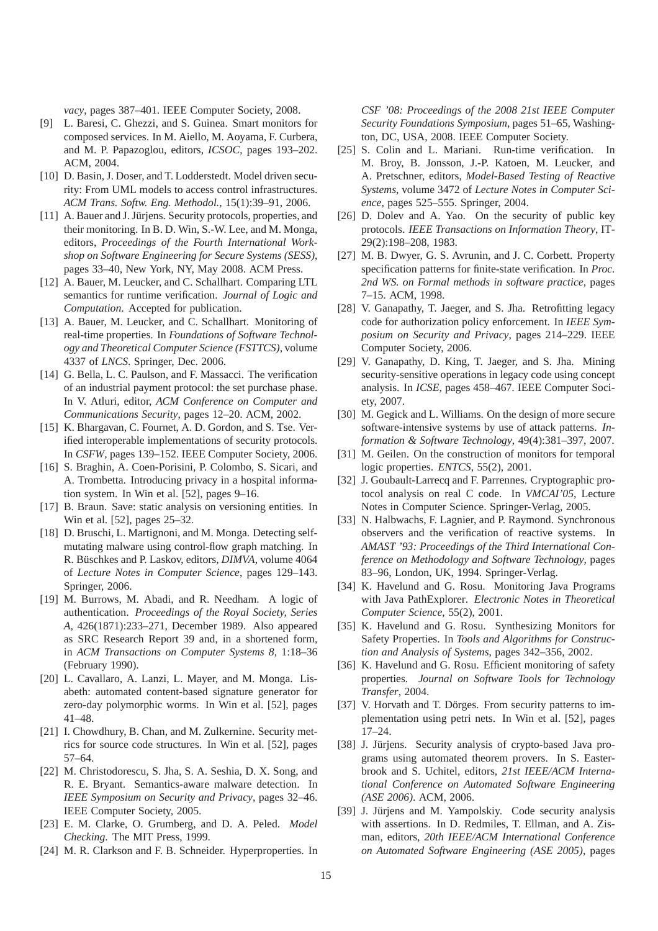*vacy*, pages 387–401. IEEE Computer Society, 2008.

- [9] L. Baresi, C. Ghezzi, and S. Guinea. Smart monitors for composed services. In M. Aiello, M. Aoyama, F. Curbera, and M. P. Papazoglou, editors, *ICSOC*, pages 193–202. ACM, 2004.
- [10] D. Basin, J. Doser, and T. Lodderstedt. Model driven security: From UML models to access control infrastructures. *ACM Trans. Softw. Eng. Methodol.*, 15(1):39–91, 2006.
- [11] A. Bauer and J. Jürjens. Security protocols, properties, and their monitoring. In B. D. Win, S.-W. Lee, and M. Monga, editors, *Proceedings of the Fourth International Workshop on Software Engineering for Secure Systems (SESS)*, pages 33–40, New York, NY, May 2008. ACM Press.
- [12] A. Bauer, M. Leucker, and C. Schallhart. Comparing LTL semantics for runtime verification. *Journal of Logic and Computation*. Accepted for publication.
- [13] A. Bauer, M. Leucker, and C. Schallhart. Monitoring of real-time properties. In *Foundations of Software Technology and Theoretical Computer Science (FSTTCS)*, volume 4337 of *LNCS*. Springer, Dec. 2006.
- [14] G. Bella, L. C. Paulson, and F. Massacci. The verification of an industrial payment protocol: the set purchase phase. In V. Atluri, editor, *ACM Conference on Computer and Communications Security*, pages 12–20. ACM, 2002.
- [15] K. Bhargavan, C. Fournet, A. D. Gordon, and S. Tse. Verified interoperable implementations of security protocols. In *CSFW*, pages 139–152. IEEE Computer Society, 2006.
- [16] S. Braghin, A. Coen-Porisini, P. Colombo, S. Sicari, and A. Trombetta. Introducing privacy in a hospital information system. In Win et al. [52], pages 9–16.
- [17] B. Braun. Save: static analysis on versioning entities. In Win et al. [52], pages 25–32.
- [18] D. Bruschi, L. Martignoni, and M. Monga. Detecting selfmutating malware using control-flow graph matching. In R. Büschkes and P. Laskov, editors, *DIMVA*, volume 4064 of *Lecture Notes in Computer Science*, pages 129–143. Springer, 2006.
- [19] M. Burrows, M. Abadi, and R. Needham. A logic of authentication. *Proceedings of the Royal Society, Series A*, 426(1871):233–271, December 1989. Also appeared as SRC Research Report 39 and, in a shortened form, in *ACM Transactions on Computer Systems 8*, 1:18–36 (February 1990).
- [20] L. Cavallaro, A. Lanzi, L. Mayer, and M. Monga. Lisabeth: automated content-based signature generator for zero-day polymorphic worms. In Win et al. [52], pages 41–48.
- [21] I. Chowdhury, B. Chan, and M. Zulkernine. Security metrics for source code structures. In Win et al. [52], pages 57–64.
- [22] M. Christodorescu, S. Jha, S. A. Seshia, D. X. Song, and R. E. Bryant. Semantics-aware malware detection. In *IEEE Symposium on Security and Privacy*, pages 32–46. IEEE Computer Society, 2005.
- [23] E. M. Clarke, O. Grumberg, and D. A. Peled. *Model Checking*. The MIT Press, 1999.
- [24] M. R. Clarkson and F. B. Schneider. Hyperproperties. In

*CSF '08: Proceedings of the 2008 21st IEEE Computer Security Foundations Symposium*, pages 51–65, Washington, DC, USA, 2008. IEEE Computer Society.

- [25] S. Colin and L. Mariani. Run-time verification. In M. Broy, B. Jonsson, J.-P. Katoen, M. Leucker, and A. Pretschner, editors, *Model-Based Testing of Reactive Systems*, volume 3472 of *Lecture Notes in Computer Science*, pages 525–555. Springer, 2004.
- [26] D. Dolev and A. Yao. On the security of public key protocols. *IEEE Transactions on Information Theory*, IT-29(2):198–208, 1983.
- [27] M. B. Dwyer, G. S. Avrunin, and J. C. Corbett. Property specification patterns for finite-state verification. In *Proc. 2nd WS. on Formal methods in software practice*, pages 7–15. ACM, 1998.
- [28] V. Ganapathy, T. Jaeger, and S. Jha. Retrofitting legacy code for authorization policy enforcement. In *IEEE Symposium on Security and Privacy*, pages 214–229. IEEE Computer Society, 2006.
- [29] V. Ganapathy, D. King, T. Jaeger, and S. Jha. Mining security-sensitive operations in legacy code using concept analysis. In *ICSE*, pages 458–467. IEEE Computer Society, 2007.
- [30] M. Gegick and L. Williams. On the design of more secure software-intensive systems by use of attack patterns. *Information & Software Technology*, 49(4):381–397, 2007.
- [31] M. Geilen. On the construction of monitors for temporal logic properties. *ENTCS*, 55(2), 2001.
- [32] J. Goubault-Larrecq and F. Parrennes. Cryptographic protocol analysis on real C code. In *VMCAI'05*, Lecture Notes in Computer Science. Springer-Verlag, 2005.
- [33] N. Halbwachs, F. Lagnier, and P. Raymond. Synchronous observers and the verification of reactive systems. In *AMAST '93: Proceedings of the Third International Conference on Methodology and Software Technology*, pages 83–96, London, UK, 1994. Springer-Verlag.
- [34] K. Havelund and G. Rosu. Monitoring Java Programs with Java PathExplorer. *Electronic Notes in Theoretical Computer Science*, 55(2), 2001.
- [35] K. Havelund and G. Rosu. Synthesizing Monitors for Safety Properties. In *Tools and Algorithms for Construction and Analysis of Systems*, pages 342–356, 2002.
- [36] K. Havelund and G. Rosu. Efficient monitoring of safety properties. *Journal on Software Tools for Technology Transfer*, 2004.
- [37] V. Horvath and T. Dörges. From security patterns to implementation using petri nets. In Win et al. [52], pages 17–24.
- [38] J. Jürjens. Security analysis of crypto-based Java programs using automated theorem provers. In S. Easterbrook and S. Uchitel, editors, *21st IEEE/ACM International Conference on Automated Software Engineering (ASE 2006)*. ACM, 2006.
- [39] J. Jürjens and M. Yampolskiy. Code security analysis with assertions. In D. Redmiles, T. Ellman, and A. Zisman, editors, *20th IEEE/ACM International Conference on Automated Software Engineering (ASE 2005)*, pages